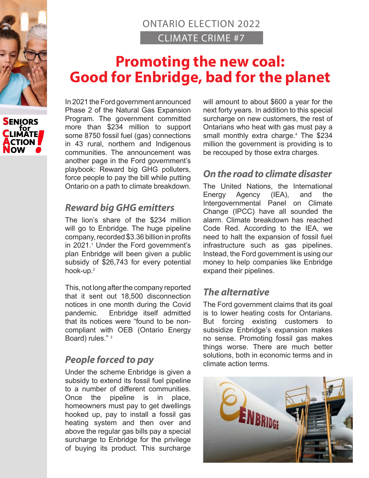



# ONTARIO ELECTION 2022 CLIMATE CRIME #7

# **Promoting the new coal: Good for Enbridge, bad for the planet**

In 2021 the Ford government announced Phase 2 of the Natural Gas Expansion Program. The government committed more than \$234 million to support some 8750 fossil fuel (gas) connections in 43 rural, northern and Indigenous communities. The announcement was another page in the Ford government's playbook: Reward big GHG polluters, force people to pay the bill while putting Ontario on a path to climate breakdown.

### *Reward big GHG emitters*

The lion's share of the \$234 million will go to Enbridge. The huge pipeline company, recorded \$3.36 billion in profits in 2021.1 Under the Ford government's plan Enbridge will been given a public subsidy of \$26,743 for every potential hook-up.<sup>2</sup>

This, not long after the company reported that it sent out 18,500 disconnection notices in one month during the Covid pandemic. Enbridge itself admitted that its notices were "found to be noncompliant with OEB (Ontario Energy Board) rules." 3

# *People forced to pay*

Under the scheme Enbridge is given a subsidy to extend its fossil fuel pipeline to a number of different communities. Once the pipeline is in place, homeowners must pay to get dwellings hooked up, pay to install a fossil gas heating system and then over and above the regular gas bills pay a special surcharge to Enbridge for the privilege of buying its product. This surcharge will amount to about \$600 a year for the next forty years. In addition to this special surcharge on new customers, the rest of Ontarians who heat with gas must pay a small monthly extra charge.<sup>4</sup> The \$234 million the government is providing is to be recouped by those extra charges.

### *On the road to climate disaster*

The United Nations, the International Energy Agency (IEA), and the Intergovernmental Panel on Climate Change (IPCC) have all sounded the alarm. Climate breakdown has reached Code Red. According to the IEA, we need to halt the expansion of fossil fuel infrastructure such as gas pipelines. Instead, the Ford government is using our money to help companies like Enbridge expand their pipelines.

# *The alternative*

The Ford government claims that its goal is to lower heating costs for Ontarians. But forcing existing customers to subsidize Enbridge's expansion makes no sense. Promoting fossil gas makes things worse. There are much better solutions, both in economic terms and in climate action terms.